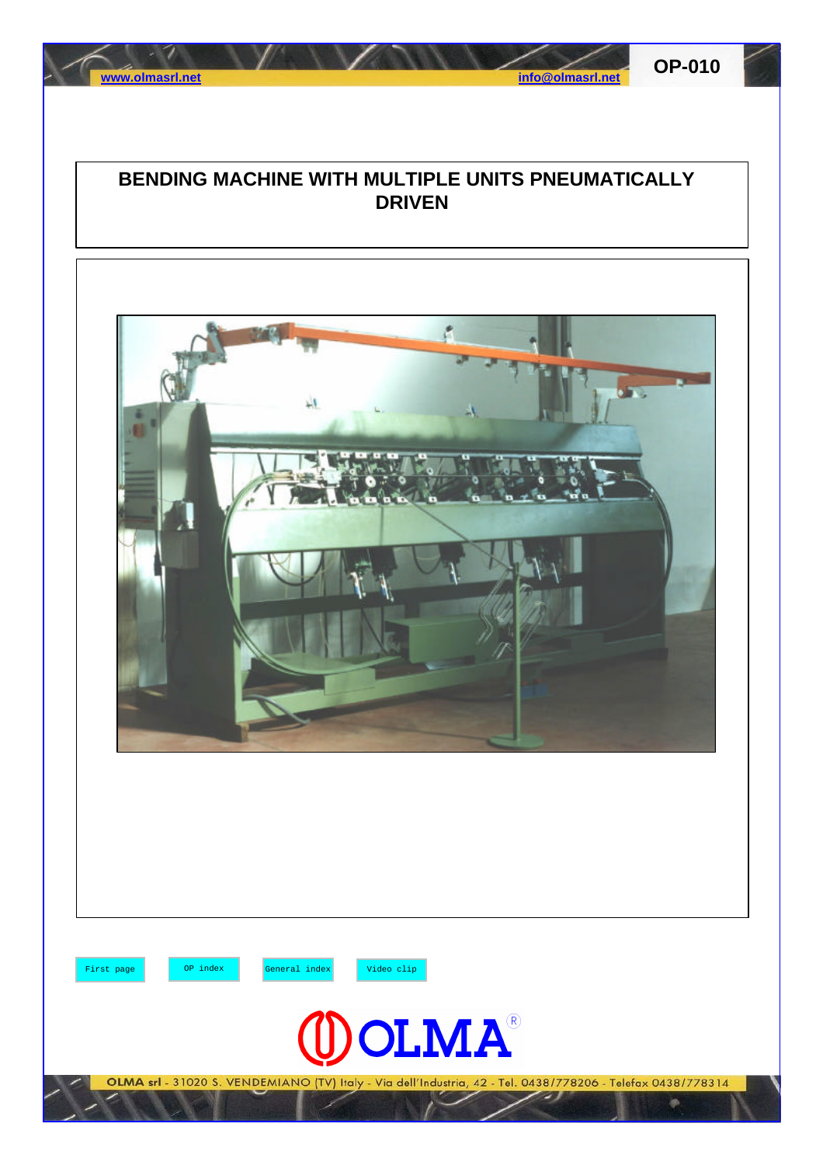